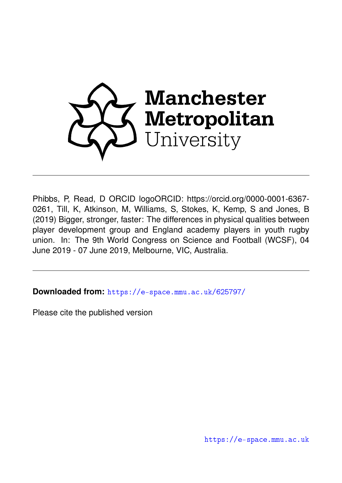

Phibbs, P, Read, D ORCID logoORCID: https://orcid.org/0000-0001-6367- 0261, Till, K, Atkinson, M, Williams, S, Stokes, K, Kemp, S and Jones, B (2019) Bigger, stronger, faster: The differences in physical qualities between player development group and England academy players in youth rugby union. In: The 9th World Congress on Science and Football (WCSF), 04 June 2019 - 07 June 2019, Melbourne, VIC, Australia.

**Downloaded from:** <https://e-space.mmu.ac.uk/625797/>

Please cite the published version

<https://e-space.mmu.ac.uk>